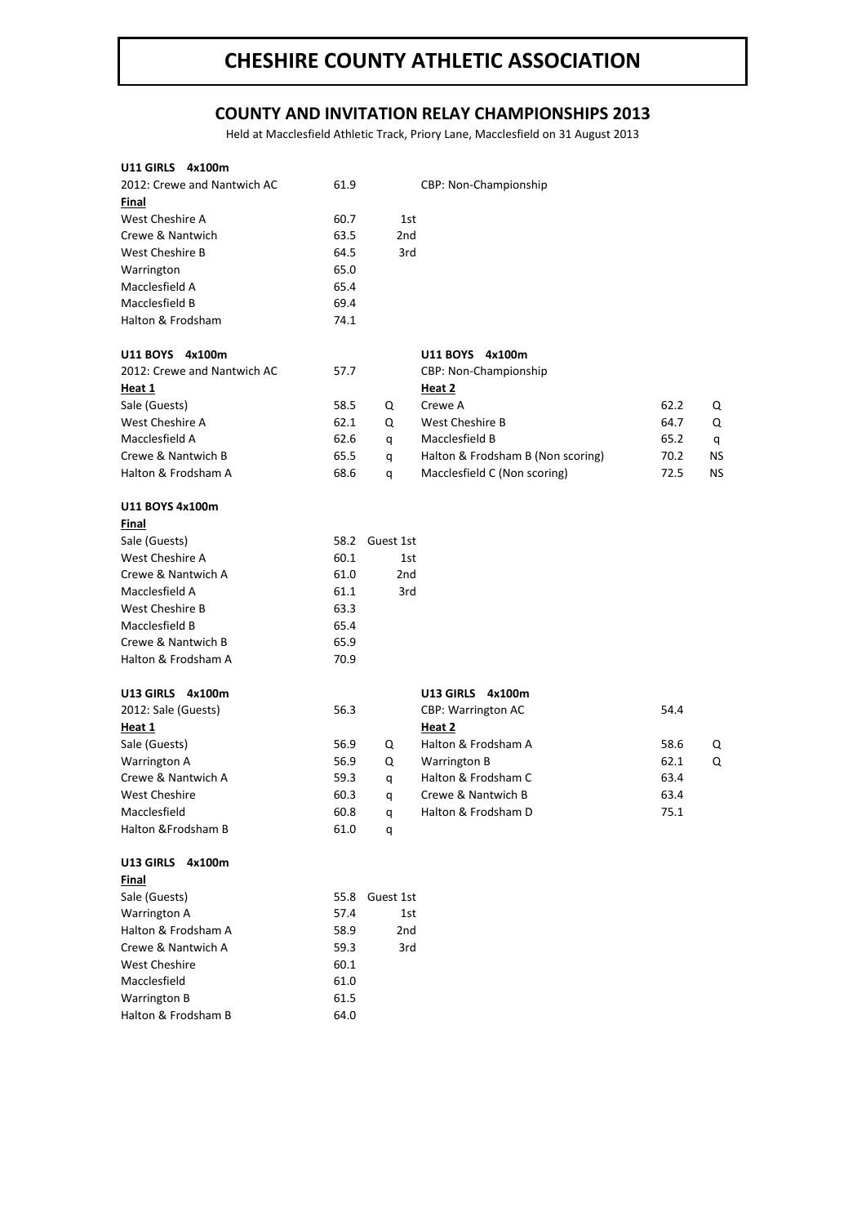## **CHESHIRE COUNTY ATHLETIC ASSOCIATION**

## **COUNTY AND INVITATION RELAY CHAMPIONSHIPS 2013**

Held at Macclesfield Athletic Track, Priory Lane, Macclesfield on 31 August 2013

| U11 GIRLS 4x100m                    |      |                 |                                   |      |    |
|-------------------------------------|------|-----------------|-----------------------------------|------|----|
| 2012: Crewe and Nantwich AC         | 61.9 |                 | CBP: Non-Championship             |      |    |
| Final                               |      |                 |                                   |      |    |
| West Cheshire A                     | 60.7 | 1st             |                                   |      |    |
| Crewe & Nantwich                    | 63.5 | 2 <sub>nd</sub> |                                   |      |    |
| West Cheshire B                     | 64.5 | 3rd             |                                   |      |    |
| Warrington                          | 65.0 |                 |                                   |      |    |
| Macclesfield A                      | 65.4 |                 |                                   |      |    |
| Macclesfield B                      | 69.4 |                 |                                   |      |    |
| Halton & Frodsham                   | 74.1 |                 |                                   |      |    |
| U11 BOYS 4x100m                     |      |                 | U11 BOYS 4x100m                   |      |    |
| 2012: Crewe and Nantwich AC         | 57.7 |                 | CBP: Non-Championship             |      |    |
| Heat 1                              |      |                 | Heat 2                            |      |    |
| Sale (Guests)                       | 58.5 | Q               | Crewe A                           | 62.2 | Q  |
| West Cheshire A                     | 62.1 | Q               | West Cheshire B                   | 64.7 | Q  |
| Macclesfield A                      | 62.6 | q               | Macclesfield B                    | 65.2 | q  |
| Crewe & Nantwich B                  | 65.5 | q               | Halton & Frodsham B (Non scoring) | 70.2 | ΝS |
| Halton & Frodsham A                 | 68.6 | q               | Macclesfield C (Non scoring)      | 72.5 | ΝS |
| U11 BOYS 4x100m                     |      |                 |                                   |      |    |
| Final                               |      |                 |                                   |      |    |
| Sale (Guests)                       | 58.2 | Guest 1st       |                                   |      |    |
| West Cheshire A                     | 60.1 | 1st             |                                   |      |    |
| Crewe & Nantwich A                  | 61.0 | 2 <sub>nd</sub> |                                   |      |    |
| Macclesfield A                      | 61.1 | 3rd             |                                   |      |    |
| West Cheshire B                     | 63.3 |                 |                                   |      |    |
| Macclesfield B                      | 65.4 |                 |                                   |      |    |
| Crewe & Nantwich B                  | 65.9 |                 |                                   |      |    |
| Halton & Frodsham A                 | 70.9 |                 |                                   |      |    |
| U13 GIRLS 4x100m                    |      |                 | U13 GIRLS 4x100m                  |      |    |
| 2012: Sale (Guests)                 | 56.3 |                 | CBP: Warrington AC                | 54.4 |    |
| Heat 1                              |      |                 | Heat 2                            |      |    |
| Sale (Guests)                       | 56.9 | Q               | Halton & Frodsham A               | 58.6 | Q  |
| <b>Warrington A</b>                 | 56.9 | Q               | <b>Warrington B</b>               | 62.1 | Q  |
| Crewe & Nantwich A                  | 59.3 | q               | Halton & Frodsham C               | 63.4 |    |
| <b>West Cheshire</b>                | 60.3 | q               | Crewe & Nantwich B                | 63.4 |    |
| Macclesfield                        | 60.8 |                 | Halton & Frodsham D               | 75.1 |    |
| Halton & Frodsham B                 | 61.0 | q<br>q          |                                   |      |    |
|                                     |      |                 |                                   |      |    |
| U13 GIRLS<br>4x100m<br><b>Final</b> |      |                 |                                   |      |    |
| Sale (Guests)                       | 55.8 | Guest 1st       |                                   |      |    |
| Warrington A                        | 57.4 | 1st             |                                   |      |    |
| Halton & Frodsham A                 | 58.9 | 2nd             |                                   |      |    |
| Crewe & Nantwich A                  | 59.3 | 3rd             |                                   |      |    |
| <b>West Cheshire</b>                | 60.1 |                 |                                   |      |    |
| Macclesfield                        | 61.0 |                 |                                   |      |    |
| Warrington B                        | 61.5 |                 |                                   |      |    |
| Halton & Frodsham B                 | 64.0 |                 |                                   |      |    |
|                                     |      |                 |                                   |      |    |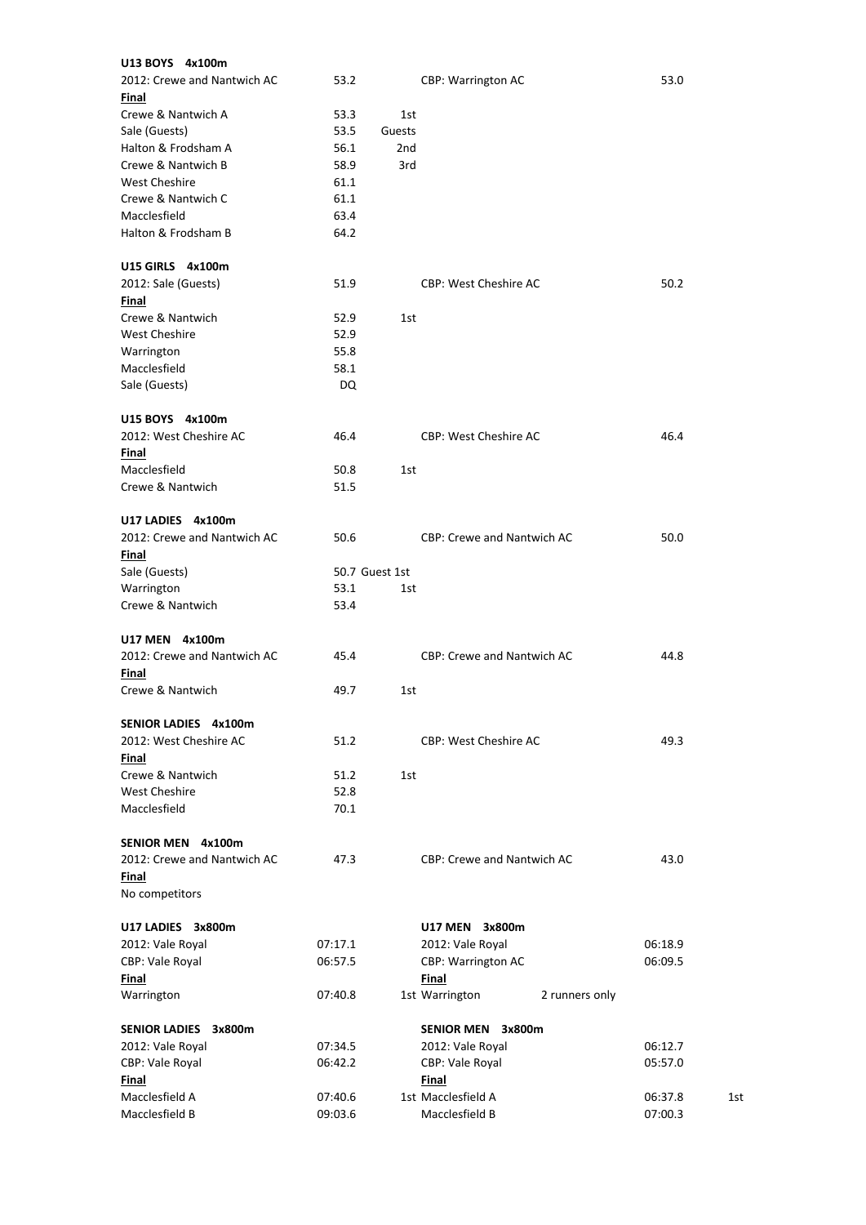| U13 BOYS 4x100m                      |         |                 |                                   |         |     |
|--------------------------------------|---------|-----------------|-----------------------------------|---------|-----|
| 2012: Crewe and Nantwich AC<br>Final | 53.2    |                 | <b>CBP: Warrington AC</b>         | 53.0    |     |
| Crewe & Nantwich A                   | 53.3    | 1st             |                                   |         |     |
| Sale (Guests)                        | 53.5    | Guests          |                                   |         |     |
| Halton & Frodsham A                  | 56.1    | 2 <sub>nd</sub> |                                   |         |     |
| Crewe & Nantwich B                   | 58.9    | 3rd             |                                   |         |     |
| West Cheshire                        | 61.1    |                 |                                   |         |     |
| Crewe & Nantwich C                   | 61.1    |                 |                                   |         |     |
| Macclesfield                         | 63.4    |                 |                                   |         |     |
| Halton & Frodsham B                  | 64.2    |                 |                                   |         |     |
| U15 GIRLS 4x100m                     |         |                 |                                   |         |     |
| 2012: Sale (Guests)                  | 51.9    |                 | <b>CBP: West Cheshire AC</b>      | 50.2    |     |
| Final                                |         |                 |                                   |         |     |
| Crewe & Nantwich                     | 52.9    | 1st             |                                   |         |     |
| <b>West Cheshire</b>                 | 52.9    |                 |                                   |         |     |
| Warrington                           | 55.8    |                 |                                   |         |     |
| Macclesfield                         | 58.1    |                 |                                   |         |     |
| Sale (Guests)                        | DQ      |                 |                                   |         |     |
| U15 BOYS 4x100m                      |         |                 |                                   |         |     |
| 2012: West Cheshire AC               | 46.4    |                 | <b>CBP: West Cheshire AC</b>      | 46.4    |     |
| Final                                |         |                 |                                   |         |     |
| Macclesfield                         | 50.8    | 1st             |                                   |         |     |
| Crewe & Nantwich                     | 51.5    |                 |                                   |         |     |
| U17 LADIES 4x100m                    |         |                 |                                   |         |     |
| 2012: Crewe and Nantwich AC          | 50.6    |                 | <b>CBP: Crewe and Nantwich AC</b> | 50.0    |     |
| Final                                |         |                 |                                   |         |     |
| Sale (Guests)                        |         | 50.7 Guest 1st  |                                   |         |     |
| Warrington                           | 53.1    | 1st             |                                   |         |     |
| Crewe & Nantwich                     | 53.4    |                 |                                   |         |     |
| U17 MEN 4x100m                       |         |                 |                                   |         |     |
| 2012: Crewe and Nantwich AC          | 45.4    |                 | <b>CBP: Crewe and Nantwich AC</b> | 44.8    |     |
| Final                                |         |                 |                                   |         |     |
| Crewe & Nantwich                     | 49.7    | 1st             |                                   |         |     |
| SENIOR LADIES 4x100m                 |         |                 |                                   |         |     |
| 2012: West Cheshire AC               | 51.2    |                 | <b>CBP: West Cheshire AC</b>      | 49.3    |     |
| Final                                |         |                 |                                   |         |     |
| Crewe & Nantwich                     | 51.2    | 1st             |                                   |         |     |
| <b>West Cheshire</b>                 | 52.8    |                 |                                   |         |     |
| Macclesfield                         | 70.1    |                 |                                   |         |     |
| SENIOR MEN 4x100m                    |         |                 |                                   |         |     |
| 2012: Crewe and Nantwich AC          | 47.3    |                 | CBP: Crewe and Nantwich AC        | 43.0    |     |
| Final                                |         |                 |                                   |         |     |
| No competitors                       |         |                 |                                   |         |     |
| U17 LADIES 3x800m                    |         |                 | U17 MEN 3x800m                    |         |     |
| 2012: Vale Royal                     | 07:17.1 |                 | 2012: Vale Royal                  | 06:18.9 |     |
| CBP: Vale Royal                      | 06:57.5 |                 | CBP: Warrington AC                | 06:09.5 |     |
| Final                                |         |                 | Final                             |         |     |
| Warrington                           | 07:40.8 |                 | 1st Warrington<br>2 runners only  |         |     |
| SENIOR LADIES 3x800m                 |         |                 | SENIOR MEN 3x800m                 |         |     |
| 2012: Vale Royal                     | 07:34.5 |                 | 2012: Vale Royal                  | 06:12.7 |     |
| CBP: Vale Royal                      | 06:42.2 |                 | CBP: Vale Royal                   | 05:57.0 |     |
| Final                                |         |                 | Final                             |         |     |
| Macclesfield A                       | 07:40.6 |                 | 1st Macclesfield A                | 06:37.8 | 1st |
| Macclesfield B                       | 09:03.6 |                 | Macclesfield B                    | 07:00.3 |     |
|                                      |         |                 |                                   |         |     |